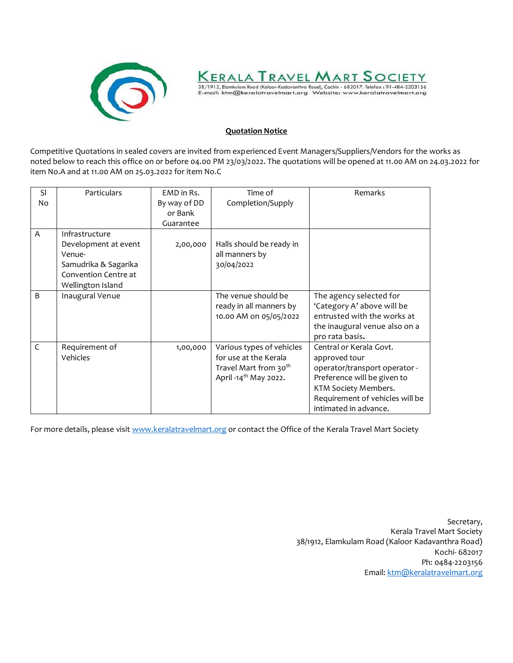



#### **Quotation Notice**

Competitive Quotations in sealed covers are invited from experienced Event Managers/Suppliers/Vendors for the works as noted below to reach this office on or before 04.00 PM 23/03/2022. The quotations will be opened at 11.00 AM on 24.03.2022 for item No.A and at 11.00 AM on 25.03.2022 for item No.C

| <b>SI</b>    | Particulars          | EMD in Rs.   | Time of                           | Remarks                         |
|--------------|----------------------|--------------|-----------------------------------|---------------------------------|
| No           |                      | By way of DD | Completion/Supply                 |                                 |
|              |                      | or Bank      |                                   |                                 |
|              |                      | Guarantee    |                                   |                                 |
| A            | Infrastructure       |              |                                   |                                 |
|              | Development at event | 2,00,000     | Halls should be ready in          |                                 |
|              | Venue-               |              | all manners by                    |                                 |
|              | Samudrika & Sagarika |              | 30/04/2022                        |                                 |
|              | Convention Centre at |              |                                   |                                 |
|              | Wellington Island    |              |                                   |                                 |
| <sub>B</sub> | Inaugural Venue      |              | The venue should be               | The agency selected for         |
|              |                      |              | ready in all manners by           | 'Category A' above will be      |
|              |                      |              | 10.00 AM on 05/05/2022            | entrusted with the works at     |
|              |                      |              |                                   | the inaugural venue also on a   |
|              |                      |              |                                   | pro rata basis.                 |
| $\mathsf{C}$ | Requirement of       | 1,00,000     | Various types of vehicles         | Central or Kerala Govt.         |
|              | Vehicles             |              | for use at the Kerala             | approved tour                   |
|              |                      |              | Travel Mart from 30 <sup>th</sup> | operator/transport operator -   |
|              |                      |              | April -14 <sup>th</sup> May 2022. | Preference will be given to     |
|              |                      |              |                                   | KTM Society Members.            |
|              |                      |              |                                   | Requirement of vehicles will be |
|              |                      |              |                                   | intimated in advance.           |

For more details, please visit [www.keralatravelmart.org](http://www.keralatravelmart.org/) or contact the Office of the Kerala Travel Mart Society

Secretary, Kerala Travel Mart Society 38/1912, Elamkulam Road (Kaloor Kadavanthra Road) Kochi- 682017 Ph: 0484-2203156 Email[: ktm@keralatravelmart.org](mailto:ktm@keralatravelmart.org)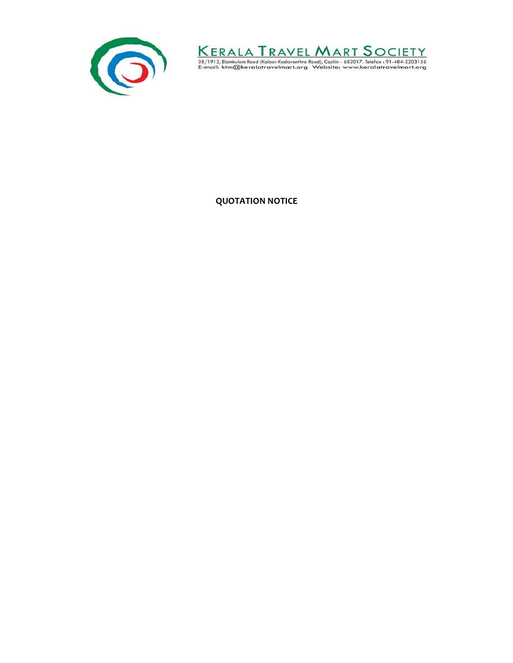



**QUOTATION NOTICE**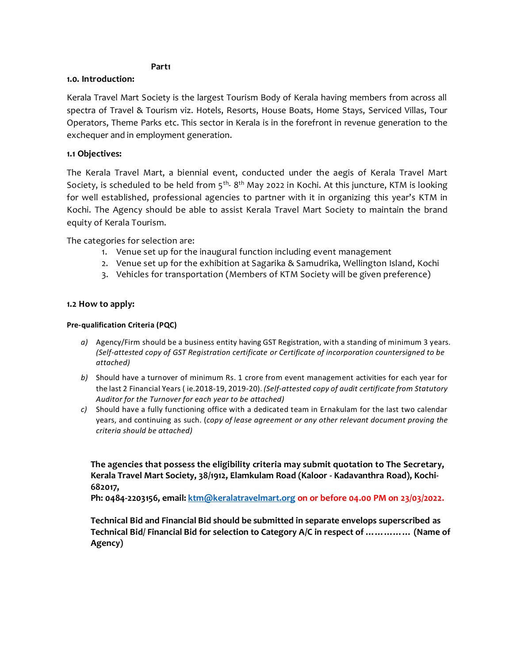#### **Part1**

#### **1.0. Introduction:**

Kerala Travel Mart Society is the largest Tourism Body of Kerala having members from across all spectra of Travel & Tourism viz. Hotels, Resorts, House Boats, Home Stays, Serviced Villas, Tour Operators, Theme Parks etc. This sector in Kerala is in the forefront in revenue generation to the exchequer and in employment generation.

#### **1.1 Objectives:**

The Kerala Travel Mart, a biennial event, conducted under the aegis of Kerala Travel Mart Society, is scheduled to be held from 5<sup>th</sup>-8<sup>th</sup> May 2022 in Kochi. At this juncture, KTM is looking for well established, professional agencies to partner with it in organizing this year's KTM in Kochi. The Agency should be able to assist Kerala Travel Mart Society to maintain the brand equity of Kerala Tourism.

The categories for selection are:

- 1. Venue set up for the inaugural function including event management
- 2. Venue set up for the exhibition at Sagarika & Samudrika, Wellington Island, Kochi
- 3. Vehicles for transportation (Members of KTM Society will be given preference)

#### **1.2 How to apply:**

#### **Pre‐qualification Criteria (PQC)**

- *a)* Agency/Firm should be a business entity having GST Registration, with a standing of minimum 3 years. *(Self-attested copy of GST Registration certificate or Certificate of incorporation countersigned to be attached)*
- *b)* Should have a turnover of minimum Rs. 1 crore from event management activities for each year for the last 2 Financial Years ( ie.2018‐19, 2019‐20). *(Self-attested copy of audit certificate from Statutory Auditor for the Turnover for each year to be attached)*
- *c)* Should have a fully functioning office with a dedicated team in Ernakulam for the last two calendar years, and continuing as such. (*copy of lease agreement or any other relevant document proving the criteria should be attached)*

**The agencies that possess the eligibility criteria may submit quotation to The Secretary, Kerala Travel Mart Society, 38/1912, Elamkulam Road (Kaloor - Kadavanthra Road), Kochi-682017,** 

**Ph: 0484-2203156, email[: ktm@keralatravelmart.org](mailto:ktm@keralatravelmart.org) on or before 04.00 PM on 23/03/2022.**

**Technical Bid and Financial Bid should be submitted in separate envelops superscribed as Technical Bid/ Financial Bid for selection to Category A/C in respect of …………… (Name of Agency)**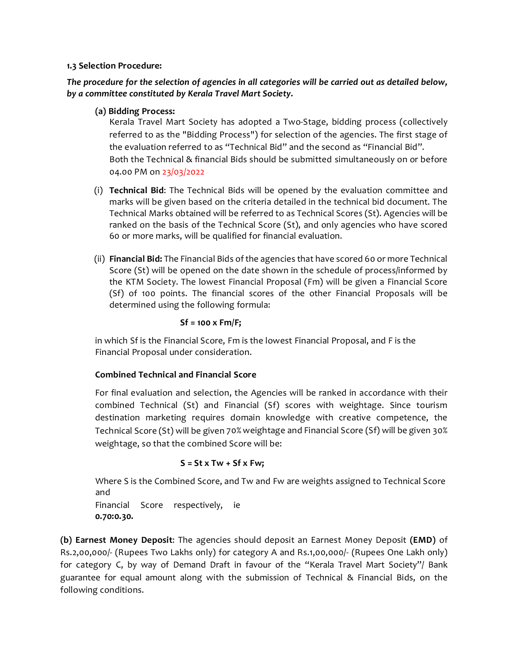#### **1.3 Selection Procedure:**

*The procedure for the selection of agencies in all categories will be carried out as detailed below, by a committee constituted by Kerala Travel Mart Society.*

**(a) Bidding Process:**

Kerala Travel Mart Society has adopted a Two‐Stage, bidding process (collectively referred to as the "Bidding Process") for selection of the agencies. The first stage of the evaluation referred to as "Technical Bid" and the second as "Financial Bid". Both the Technical & financial Bids should be submitted simultaneously on or before 04.00 PM on 23/03/2022

- (i) **Technical Bid**: The Technical Bids will be opened by the evaluation committee and marks will be given based on the criteria detailed in the technical bid document. The Technical Marks obtained will be referred to as Technical Scores (St). Agencies will be ranked on the basis of the Technical Score (St), and only agencies who have scored 60 or more marks, will be qualified for financial evaluation.
- (ii) **Financial Bid:** The Financial Bids ofthe agencies that have scored 60 or more Technical Score (St) will be opened on the date shown in the schedule of process/informed by the KTM Society. The lowest Financial Proposal (Fm) will be given a Financial Score (Sf) of 100 points. The financial scores of the other Financial Proposals will be determined using the following formula:

#### **Sf = 100 x Fm/F;**

in which Sf is the Financial Score, Fm is the lowest Financial Proposal, and F is the Financial Proposal under consideration.

#### **Combined Technical and Financial Score**

For final evaluation and selection, the Agencies will be ranked in accordance with their combined Technical (St) and Financial (Sf) scores with weightage. Since tourism destination marketing requires domain knowledge with creative competence, the Technical Score (St) will be given 70% weightage and Financial Score (Sf) will be given 30% weightage, so that the combined Score will be:

#### **S = St x Tw + Sf x Fw;**

Where S is the Combined Score, and Tw and Fw are weights assigned to Technical Score and Financial Score respectively, ie **0.70:0.30.** 

**(b) Earnest Money Deposit**: The agencies should deposit an Earnest Money Deposit **(EMD)** of Rs.2,00,000/‐ (Rupees Two Lakhs only) for category A and Rs.1,00,000/- (Rupees One Lakh only) for category C, by way of Demand Draft in favour of the "Kerala Travel Mart Society"/ Bank guarantee for equal amount along with the submission of Technical & Financial Bids, on the following conditions.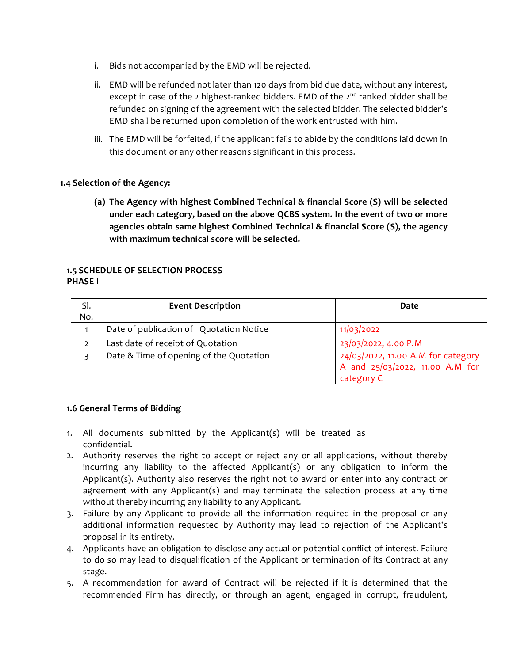- i. Bids not accompanied by the EMD will be rejected.
- ii. EMD will be refunded not later than 120 days from bid due date, without any interest, except in case of the 2 highest-ranked bidders. EMD of the 2<sup>nd</sup> ranked bidder shall be refunded on signing of the agreement with the selected bidder. The selected bidder's EMD shall be returned upon completion of the work entrusted with him.
- iii. The EMD will be forfeited, if the applicant fails to abide by the conditions laid down in this document or any other reasons significant in this process.

### **1.4 Selection of the Agency:**

**(a) The Agency with highest Combined Technical & financial Score (S) will be selected under each category, based on the above QCBS system. In the event of two or more agencies obtain same highest Combined Technical & financial Score (S), the agency with maximum technical score will be selected.**

#### **1.5 SCHEDULE OF SELECTION PROCESS – PHASE I**

| SI. | <b>Event Description</b>                | Date                                                                                |
|-----|-----------------------------------------|-------------------------------------------------------------------------------------|
| No. |                                         |                                                                                     |
|     | Date of publication of Quotation Notice | 11/03/2022                                                                          |
|     | Last date of receipt of Quotation       | 23/03/2022, 4.00 P.M                                                                |
|     | Date & Time of opening of the Quotation | 24/03/2022, 11.00 A.M for category<br>A and 25/03/2022, 11.00 A.M for<br>category C |

#### **1.6 General Terms of Bidding**

- 1. All documents submitted by the Applicant(s) will be treated as confidential.
- 2. Authority reserves the right to accept or reject any or all applications, without thereby incurring any liability to the affected Applicant(s) or any obligation to inform the Applicant(s). Authority also reserves the right not to award or enter into any contract or agreement with any Applicant(s) and may terminate the selection process at any time without thereby incurring any liability to any Applicant.
- 3. Failure by any Applicant to provide all the information required in the proposal or any additional information requested by Authority may lead to rejection of the Applicant's proposal in its entirety.
- 4. Applicants have an obligation to disclose any actual or potential conflict of interest. Failure to do so may lead to disqualification of the Applicant or termination of its Contract at any stage.
- 5. A recommendation for award of Contract will be rejected if it is determined that the recommended Firm has directly, or through an agent, engaged in corrupt, fraudulent,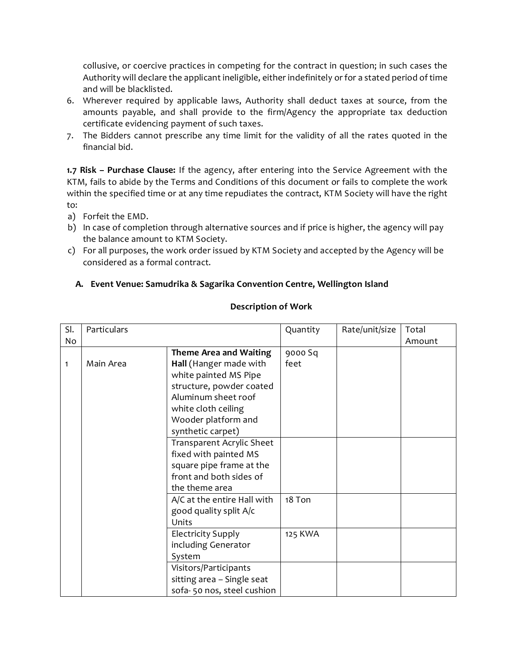collusive, or coercive practices in competing for the contract in question; in such cases the Authority will declare the applicant ineligible, either indefinitely or for a stated period of time and will be blacklisted.

- 6. Wherever required by applicable laws, Authority shall deduct taxes at source, from the amounts payable, and shall provide to the firm/Agency the appropriate tax deduction certificate evidencing payment of such taxes.
- 7. The Bidders cannot prescribe any time limit for the validity of all the rates quoted in the financial bid.

**1.7 Risk – Purchase Clause:** If the agency, after entering into the Service Agreement with the KTM, fails to abide by the Terms and Conditions of this document or fails to complete the work within the specified time or at any time repudiates the contract, KTM Society will have the right to:

- a) Forfeit the EMD.
- b) In case of completion through alternative sources and if price is higher, the agency will pay the balance amount to KTM Society.
- c) For all purposes, the work order issued by KTM Society and accepted by the Agency will be considered as a formal contract.

### **A. Event Venue: Samudrika & Sagarika Convention Centre, Wellington Island**

#### **Description of Work**

| SI. | Particulars |                               | Quantity | Rate/unit/size | Total  |
|-----|-------------|-------------------------------|----------|----------------|--------|
| No  |             |                               |          |                | Amount |
|     |             | <b>Theme Area and Waiting</b> | 9000 Sq  |                |        |
| 1   | Main Area   | Hall (Hanger made with        | feet     |                |        |
|     |             | white painted MS Pipe         |          |                |        |
|     |             | structure, powder coated      |          |                |        |
|     |             | Aluminum sheet roof           |          |                |        |
|     |             | white cloth ceiling           |          |                |        |
|     |             | Wooder platform and           |          |                |        |
|     |             | synthetic carpet)             |          |                |        |
|     |             | Transparent Acrylic Sheet     |          |                |        |
|     |             | fixed with painted MS         |          |                |        |
|     |             | square pipe frame at the      |          |                |        |
|     |             | front and both sides of       |          |                |        |
|     |             | the theme area                |          |                |        |
|     |             | A/C at the entire Hall with   | 18 Ton   |                |        |
|     |             | good quality split A/c        |          |                |        |
|     |             | Units                         |          |                |        |
|     |             | <b>Electricity Supply</b>     | 125 KWA  |                |        |
|     |             | including Generator           |          |                |        |
|     |             | System                        |          |                |        |
|     |             | Visitors/Participants         |          |                |        |
|     |             | sitting area - Single seat    |          |                |        |
|     |             | sofa-50 nos, steel cushion    |          |                |        |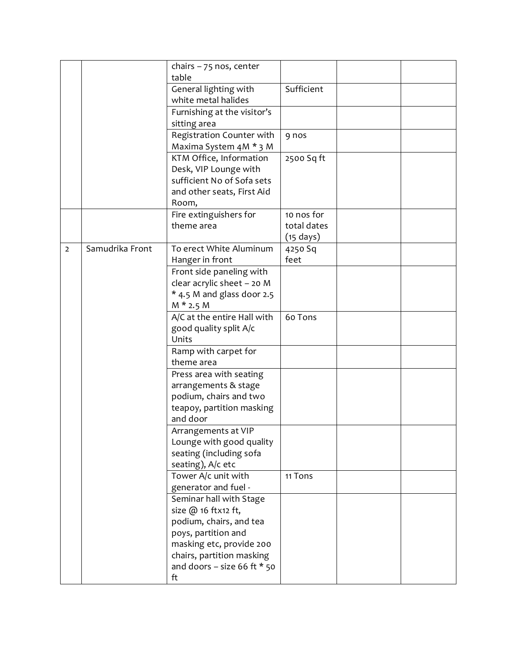|                |                 | chairs $-75$ nos, center<br>table           |                     |  |
|----------------|-----------------|---------------------------------------------|---------------------|--|
|                |                 | General lighting with                       | Sufficient          |  |
|                |                 | white metal halides                         |                     |  |
|                |                 | Furnishing at the visitor's<br>sitting area |                     |  |
|                |                 | Registration Counter with                   | 9 nos               |  |
|                |                 | Maxima System 4M * 3 M                      |                     |  |
|                |                 | KTM Office, Information                     | 2500 Sq ft          |  |
|                |                 | Desk, VIP Lounge with                       |                     |  |
|                |                 | sufficient No of Sofa sets                  |                     |  |
|                |                 | and other seats, First Aid                  |                     |  |
|                |                 | Room,                                       |                     |  |
|                |                 | Fire extinguishers for                      | 10 nos for          |  |
|                |                 | theme area                                  | total dates         |  |
|                |                 |                                             | $(15 \text{ days})$ |  |
| $\overline{2}$ | Samudrika Front | To erect White Aluminum                     | 4250 Sq<br>feet     |  |
|                |                 | Hanger in front<br>Front side paneling with |                     |  |
|                |                 | clear acrylic sheet - 20 M                  |                     |  |
|                |                 | * 4.5 M and glass door 2.5                  |                     |  |
|                |                 | $M * 2.5 M$                                 |                     |  |
|                |                 | A/C at the entire Hall with                 | 60 Tons             |  |
|                |                 | good quality split A/c                      |                     |  |
|                |                 | Units                                       |                     |  |
|                |                 | Ramp with carpet for                        |                     |  |
|                |                 | theme area                                  |                     |  |
|                |                 | Press area with seating                     |                     |  |
|                |                 | arrangements & stage                        |                     |  |
|                |                 | podium, chairs and two                      |                     |  |
|                |                 | teapoy, partition masking                   |                     |  |
|                |                 | and door                                    |                     |  |
|                |                 | Arrangements at VIP                         |                     |  |
|                |                 | Lounge with good quality                    |                     |  |
|                |                 | seating (including sofa                     |                     |  |
|                |                 | seating), A/c etc                           |                     |  |
|                |                 | Tower A/c unit with<br>generator and fuel - | 11 Tons             |  |
|                |                 | Seminar hall with Stage                     |                     |  |
|                |                 | size @ 16 ftx12 ft,                         |                     |  |
|                |                 | podium, chairs, and tea                     |                     |  |
|                |                 | poys, partition and                         |                     |  |
|                |                 | masking etc, provide 200                    |                     |  |
|                |                 | chairs, partition masking                   |                     |  |
|                |                 | and doors – size 66 ft $*$ 50               |                     |  |
|                |                 | ft                                          |                     |  |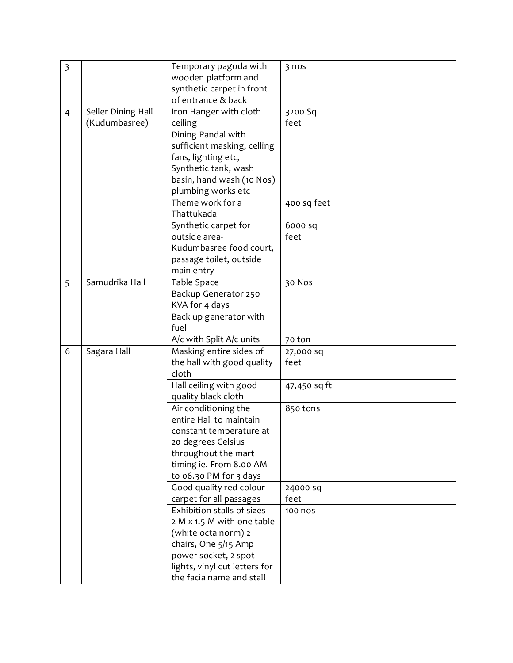| $\overline{\mathbf{3}}$ |                    | Temporary pagoda with<br>wooden platform and                                                                                                                                                                                                                                                                                                                                                                                                                                                                                                                                                                                  | 3 nos                                                           |  |
|-------------------------|--------------------|-------------------------------------------------------------------------------------------------------------------------------------------------------------------------------------------------------------------------------------------------------------------------------------------------------------------------------------------------------------------------------------------------------------------------------------------------------------------------------------------------------------------------------------------------------------------------------------------------------------------------------|-----------------------------------------------------------------|--|
|                         |                    |                                                                                                                                                                                                                                                                                                                                                                                                                                                                                                                                                                                                                               |                                                                 |  |
|                         |                    | synthetic carpet in front                                                                                                                                                                                                                                                                                                                                                                                                                                                                                                                                                                                                     |                                                                 |  |
|                         |                    | of entrance & back                                                                                                                                                                                                                                                                                                                                                                                                                                                                                                                                                                                                            |                                                                 |  |
| $\overline{4}$          | Seller Dining Hall | Iron Hanger with cloth                                                                                                                                                                                                                                                                                                                                                                                                                                                                                                                                                                                                        | 3200 Sq                                                         |  |
|                         | (Kudumbasree)      | ceiling                                                                                                                                                                                                                                                                                                                                                                                                                                                                                                                                                                                                                       | feet                                                            |  |
|                         |                    | Dining Pandal with                                                                                                                                                                                                                                                                                                                                                                                                                                                                                                                                                                                                            |                                                                 |  |
|                         |                    | sufficient masking, celling                                                                                                                                                                                                                                                                                                                                                                                                                                                                                                                                                                                                   |                                                                 |  |
|                         |                    | fans, lighting etc,                                                                                                                                                                                                                                                                                                                                                                                                                                                                                                                                                                                                           |                                                                 |  |
|                         |                    | Synthetic tank, wash                                                                                                                                                                                                                                                                                                                                                                                                                                                                                                                                                                                                          |                                                                 |  |
|                         |                    | basin, hand wash (10 Nos)                                                                                                                                                                                                                                                                                                                                                                                                                                                                                                                                                                                                     |                                                                 |  |
|                         |                    | plumbing works etc                                                                                                                                                                                                                                                                                                                                                                                                                                                                                                                                                                                                            |                                                                 |  |
|                         |                    | Theme work for a                                                                                                                                                                                                                                                                                                                                                                                                                                                                                                                                                                                                              | 400 sq feet                                                     |  |
|                         |                    | Thattukada                                                                                                                                                                                                                                                                                                                                                                                                                                                                                                                                                                                                                    |                                                                 |  |
|                         |                    | Synthetic carpet for                                                                                                                                                                                                                                                                                                                                                                                                                                                                                                                                                                                                          | 6000 sq                                                         |  |
|                         |                    | outside area-                                                                                                                                                                                                                                                                                                                                                                                                                                                                                                                                                                                                                 | feet                                                            |  |
|                         |                    | Kudumbasree food court,                                                                                                                                                                                                                                                                                                                                                                                                                                                                                                                                                                                                       |                                                                 |  |
|                         |                    | passage toilet, outside                                                                                                                                                                                                                                                                                                                                                                                                                                                                                                                                                                                                       |                                                                 |  |
|                         |                    | main entry                                                                                                                                                                                                                                                                                                                                                                                                                                                                                                                                                                                                                    |                                                                 |  |
| 5                       | Samudrika Hall     | Table Space                                                                                                                                                                                                                                                                                                                                                                                                                                                                                                                                                                                                                   | 30 Nos                                                          |  |
|                         |                    | Backup Generator 250                                                                                                                                                                                                                                                                                                                                                                                                                                                                                                                                                                                                          |                                                                 |  |
|                         |                    |                                                                                                                                                                                                                                                                                                                                                                                                                                                                                                                                                                                                                               |                                                                 |  |
|                         |                    |                                                                                                                                                                                                                                                                                                                                                                                                                                                                                                                                                                                                                               |                                                                 |  |
|                         |                    | fuel                                                                                                                                                                                                                                                                                                                                                                                                                                                                                                                                                                                                                          |                                                                 |  |
|                         |                    |                                                                                                                                                                                                                                                                                                                                                                                                                                                                                                                                                                                                                               | 70 ton                                                          |  |
| 6                       |                    |                                                                                                                                                                                                                                                                                                                                                                                                                                                                                                                                                                                                                               | 27,000 sq                                                       |  |
|                         |                    |                                                                                                                                                                                                                                                                                                                                                                                                                                                                                                                                                                                                                               |                                                                 |  |
|                         |                    |                                                                                                                                                                                                                                                                                                                                                                                                                                                                                                                                                                                                                               |                                                                 |  |
|                         |                    |                                                                                                                                                                                                                                                                                                                                                                                                                                                                                                                                                                                                                               |                                                                 |  |
|                         |                    |                                                                                                                                                                                                                                                                                                                                                                                                                                                                                                                                                                                                                               |                                                                 |  |
|                         |                    |                                                                                                                                                                                                                                                                                                                                                                                                                                                                                                                                                                                                                               |                                                                 |  |
|                         |                    |                                                                                                                                                                                                                                                                                                                                                                                                                                                                                                                                                                                                                               |                                                                 |  |
|                         |                    |                                                                                                                                                                                                                                                                                                                                                                                                                                                                                                                                                                                                                               |                                                                 |  |
|                         |                    |                                                                                                                                                                                                                                                                                                                                                                                                                                                                                                                                                                                                                               |                                                                 |  |
|                         |                    |                                                                                                                                                                                                                                                                                                                                                                                                                                                                                                                                                                                                                               |                                                                 |  |
|                         |                    |                                                                                                                                                                                                                                                                                                                                                                                                                                                                                                                                                                                                                               |                                                                 |  |
|                         |                    |                                                                                                                                                                                                                                                                                                                                                                                                                                                                                                                                                                                                                               |                                                                 |  |
|                         |                    |                                                                                                                                                                                                                                                                                                                                                                                                                                                                                                                                                                                                                               |                                                                 |  |
|                         |                    |                                                                                                                                                                                                                                                                                                                                                                                                                                                                                                                                                                                                                               |                                                                 |  |
|                         |                    |                                                                                                                                                                                                                                                                                                                                                                                                                                                                                                                                                                                                                               |                                                                 |  |
|                         |                    |                                                                                                                                                                                                                                                                                                                                                                                                                                                                                                                                                                                                                               |                                                                 |  |
|                         |                    |                                                                                                                                                                                                                                                                                                                                                                                                                                                                                                                                                                                                                               |                                                                 |  |
|                         |                    |                                                                                                                                                                                                                                                                                                                                                                                                                                                                                                                                                                                                                               |                                                                 |  |
|                         |                    |                                                                                                                                                                                                                                                                                                                                                                                                                                                                                                                                                                                                                               |                                                                 |  |
|                         |                    |                                                                                                                                                                                                                                                                                                                                                                                                                                                                                                                                                                                                                               |                                                                 |  |
|                         | Sagara Hall        | KVA for 4 days<br>Back up generator with<br>A/c with Split A/c units<br>Masking entire sides of<br>the hall with good quality<br>cloth<br>Hall ceiling with good<br>quality black cloth<br>Air conditioning the<br>entire Hall to maintain<br>constant temperature at<br>20 degrees Celsius<br>throughout the mart<br>timing ie. From 8.00 AM<br>to 06.30 PM for 3 days<br>Good quality red colour<br>carpet for all passages<br>Exhibition stalls of sizes<br>2 M x 1.5 M with one table<br>(white octa norm) 2<br>chairs, One 5/15 Amp<br>power socket, 2 spot<br>lights, vinyl cut letters for<br>the facia name and stall | feet<br>47,450 sq ft<br>850 tons<br>24000 sq<br>feet<br>100 nos |  |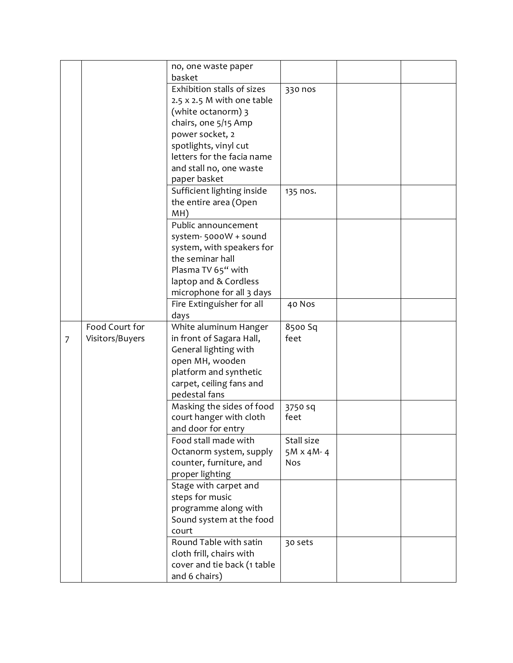|   |                 | no, one waste paper                                     |                  |  |
|---|-----------------|---------------------------------------------------------|------------------|--|
|   |                 | basket                                                  |                  |  |
|   |                 | Exhibition stalls of sizes                              | 330 nos          |  |
|   |                 | 2.5 x 2.5 M with one table                              |                  |  |
|   |                 | (white octanorm) 3                                      |                  |  |
|   |                 | chairs, one 5/15 Amp                                    |                  |  |
|   |                 | power socket, 2                                         |                  |  |
|   |                 | spotlights, vinyl cut                                   |                  |  |
|   |                 | letters for the facia name                              |                  |  |
|   |                 | and stall no, one waste                                 |                  |  |
|   |                 | paper basket                                            |                  |  |
|   |                 | Sufficient lighting inside                              | 135 nos.         |  |
|   |                 | the entire area (Open                                   |                  |  |
|   |                 | MH)                                                     |                  |  |
|   |                 | Public announcement                                     |                  |  |
|   |                 | system-5000W + sound                                    |                  |  |
|   |                 | system, with speakers for                               |                  |  |
|   |                 | the seminar hall                                        |                  |  |
|   |                 | Plasma TV 65" with                                      |                  |  |
|   |                 | laptop and & Cordless                                   |                  |  |
|   |                 | microphone for all 3 days                               |                  |  |
|   |                 | Fire Extinguisher for all                               | 40 Nos           |  |
|   |                 | days                                                    |                  |  |
|   | Food Court for  | White aluminum Hanger                                   | 8500 Sq          |  |
| 7 | Visitors/Buyers | in front of Sagara Hall,                                | feet             |  |
|   |                 | General lighting with                                   |                  |  |
|   |                 | open MH, wooden                                         |                  |  |
|   |                 |                                                         |                  |  |
|   |                 | platform and synthetic                                  |                  |  |
|   |                 | carpet, ceiling fans and                                |                  |  |
|   |                 | pedestal fans                                           |                  |  |
|   |                 | Masking the sides of food                               | 3750 sq          |  |
|   |                 | court hanger with cloth                                 | feet             |  |
|   |                 | and door for entry                                      |                  |  |
|   |                 | Food stall made with                                    | Stall size       |  |
|   |                 | Octanorm system, supply                                 | $5M \times 4M-4$ |  |
|   |                 | counter, furniture, and                                 | <b>Nos</b>       |  |
|   |                 | proper lighting                                         |                  |  |
|   |                 | Stage with carpet and                                   |                  |  |
|   |                 | steps for music                                         |                  |  |
|   |                 | programme along with                                    |                  |  |
|   |                 | Sound system at the food                                |                  |  |
|   |                 | court                                                   |                  |  |
|   |                 | Round Table with satin                                  | 30 sets          |  |
|   |                 | cloth frill, chairs with<br>cover and tie back (1 table |                  |  |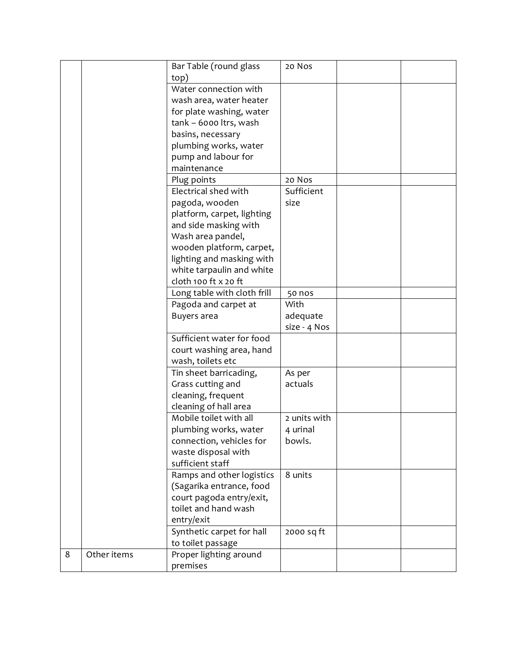|   |             | Bar Table (round glass      | 20 Nos        |  |
|---|-------------|-----------------------------|---------------|--|
|   |             | top)                        |               |  |
|   |             | Water connection with       |               |  |
|   |             | wash area, water heater     |               |  |
|   |             | for plate washing, water    |               |  |
|   |             | tank - 6000 ltrs, wash      |               |  |
|   |             | basins, necessary           |               |  |
|   |             | plumbing works, water       |               |  |
|   |             | pump and labour for         |               |  |
|   |             | maintenance                 |               |  |
|   |             | Plug points                 | 20 Nos        |  |
|   |             | Electrical shed with        | Sufficient    |  |
|   |             | pagoda, wooden              | size          |  |
|   |             | platform, carpet, lighting  |               |  |
|   |             | and side masking with       |               |  |
|   |             | Wash area pandel,           |               |  |
|   |             | wooden platform, carpet,    |               |  |
|   |             | lighting and masking with   |               |  |
|   |             | white tarpaulin and white   |               |  |
|   |             | cloth 100 ft x 20 ft        |               |  |
|   |             | Long table with cloth frill | <b>50 nos</b> |  |
|   |             | Pagoda and carpet at        | With          |  |
|   |             | Buyers area                 | adequate      |  |
|   |             |                             | size - 4 Nos  |  |
|   |             | Sufficient water for food   |               |  |
|   |             | court washing area, hand    |               |  |
|   |             | wash, toilets etc           |               |  |
|   |             | Tin sheet barricading,      | As per        |  |
|   |             | Grass cutting and           | actuals       |  |
|   |             | cleaning, frequent          |               |  |
|   |             | cleaning of hall area       |               |  |
|   |             | Mobile toilet with all      | 2 units with  |  |
|   |             | plumbing works, water       | 4 urinal      |  |
|   |             | connection, vehicles for    | bowls.        |  |
|   |             | waste disposal with         |               |  |
|   |             | sufficient staff            |               |  |
|   |             | Ramps and other logistics   | 8 units       |  |
|   |             | (Sagarika entrance, food    |               |  |
|   |             | court pagoda entry/exit,    |               |  |
|   |             | toilet and hand wash        |               |  |
|   |             | entry/exit                  |               |  |
|   |             | Synthetic carpet for hall   | 2000 sq ft    |  |
|   |             | to toilet passage           |               |  |
| 8 | Other items | Proper lighting around      |               |  |
|   |             | premises                    |               |  |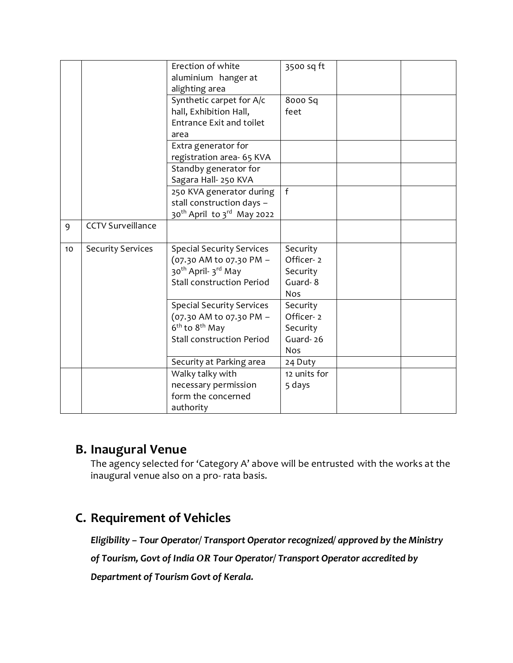|    |                          | Erection of white<br>aluminium hanger at<br>alighting area | 3500 sq ft   |  |
|----|--------------------------|------------------------------------------------------------|--------------|--|
|    |                          | Synthetic carpet for A/c                                   | 8000 Sq      |  |
|    |                          | hall, Exhibition Hall,                                     | feet         |  |
|    |                          | <b>Entrance Exit and toilet</b>                            |              |  |
|    |                          | area                                                       |              |  |
|    |                          | Extra generator for                                        |              |  |
|    |                          | registration area- 65 KVA                                  |              |  |
|    |                          | Standby generator for                                      |              |  |
|    |                          | Sagara Hall- 250 KVA                                       |              |  |
|    |                          | 250 KVA generator during                                   | f            |  |
|    |                          | stall construction days -                                  |              |  |
|    |                          | 30 <sup>th</sup> April to 3 <sup>rd</sup> May 2022         |              |  |
| 9  | <b>CCTV Surveillance</b> |                                                            |              |  |
|    |                          |                                                            |              |  |
| 10 | <b>Security Services</b> | <b>Special Security Services</b>                           | Security     |  |
|    |                          | (07.30 AM to 07.30 PM -                                    | Officer-2    |  |
|    |                          | 30 <sup>th</sup> April- 3 <sup>rd</sup> May                | Security     |  |
|    |                          | <b>Stall construction Period</b>                           | Guard-8      |  |
|    |                          |                                                            | Nos          |  |
|    |                          | <b>Special Security Services</b>                           | Security     |  |
|    |                          | (07.30 AM to 07.30 PM -                                    | Officer-2    |  |
|    |                          | 6 <sup>th</sup> to 8 <sup>th</sup> May                     | Security     |  |
|    |                          | <b>Stall construction Period</b>                           | Guard-26     |  |
|    |                          |                                                            | <b>Nos</b>   |  |
|    |                          | Security at Parking area                                   | 24 Duty      |  |
|    |                          | Walky talky with                                           | 12 units for |  |
|    |                          | necessary permission                                       | 5 days       |  |
|    |                          | form the concerned                                         |              |  |
|    |                          | authority                                                  |              |  |

## **B. Inaugural Venue**

The agency selected for 'Category A' above will be entrusted with the works at the inaugural venue also on a pro- rata basis.

## **C. Requirement of Vehicles**

*Eligibility – Tour Operator/ Transport Operator recognized/ approved by the Ministry* 

*of Tourism, Govt of India OR Tour Operator/ Transport Operator accredited by* 

*Department of Tourism Govt of Kerala.*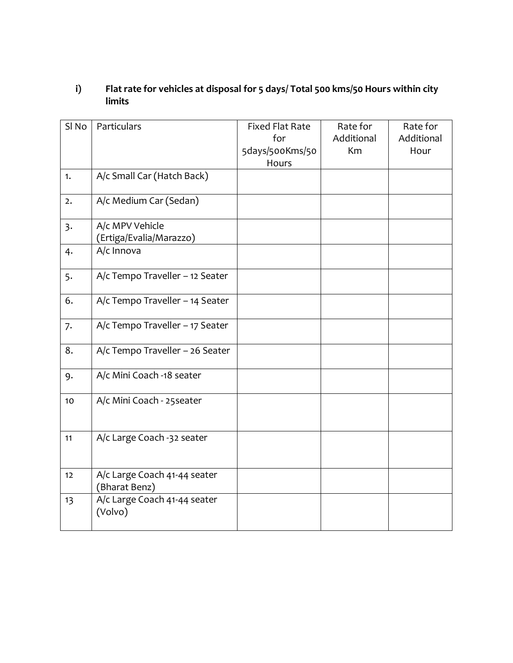## **i) Flat rate for vehicles at disposal for 5 days/ Total 500 kms/50 Hours within city limits**

| SI <sub>No</sub> | Particulars                                   | <b>Fixed Flat Rate</b><br>for<br>5days/500Kms/50 | Rate for<br>Additional<br>Km | Rate for<br>Additional<br>Hour |
|------------------|-----------------------------------------------|--------------------------------------------------|------------------------------|--------------------------------|
|                  |                                               | Hours                                            |                              |                                |
| 1.               | A/c Small Car (Hatch Back)                    |                                                  |                              |                                |
| 2.               | A/c Medium Car (Sedan)                        |                                                  |                              |                                |
| 3.               | A/c MPV Vehicle<br>(Ertiga/Evalia/Marazzo)    |                                                  |                              |                                |
| 4.               | A/c Innova                                    |                                                  |                              |                                |
| 5.               | A/c Tempo Traveller - 12 Seater               |                                                  |                              |                                |
| 6.               | A/c Tempo Traveller - 14 Seater               |                                                  |                              |                                |
| 7.               | A/c Tempo Traveller - 17 Seater               |                                                  |                              |                                |
| 8.               | A/c Tempo Traveller - 26 Seater               |                                                  |                              |                                |
| 9.               | A/c Mini Coach -18 seater                     |                                                  |                              |                                |
| 10               | A/c Mini Coach - 25 seater                    |                                                  |                              |                                |
| 11               | A/c Large Coach -32 seater                    |                                                  |                              |                                |
| 12               | A/c Large Coach 41-44 seater<br>(Bharat Benz) |                                                  |                              |                                |
| 13               | A/c Large Coach 41-44 seater<br>(Volvo)       |                                                  |                              |                                |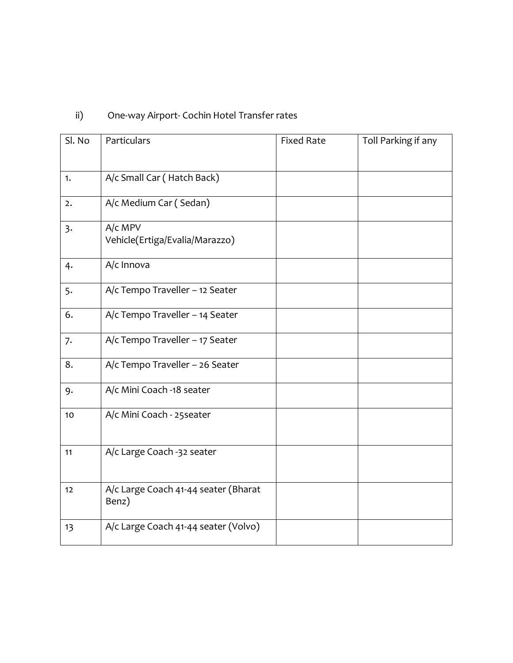# ii) One-way Airport- Cochin Hotel Transfer rates

| Sl. No            | Particulars                                   | <b>Fixed Rate</b> | Toll Parking if any |
|-------------------|-----------------------------------------------|-------------------|---------------------|
|                   |                                               |                   |                     |
| 1.                | A/c Small Car (Hatch Back)                    |                   |                     |
| 2.                | A/c Medium Car (Sedan)                        |                   |                     |
| 3.                | A/c MPV<br>Vehicle(Ertiga/Evalia/Marazzo)     |                   |                     |
| 4.                | A/c Innova                                    |                   |                     |
| 5.                | A/c Tempo Traveller - 12 Seater               |                   |                     |
| 6.                | A/c Tempo Traveller - 14 Seater               |                   |                     |
| 7.                | A/c Tempo Traveller - 17 Seater               |                   |                     |
| 8.                | A/c Tempo Traveller - 26 Seater               |                   |                     |
| 9.                | A/c Mini Coach -18 seater                     |                   |                     |
| $10$              | A/c Mini Coach - 25 seater                    |                   |                     |
| 11                | A/c Large Coach -32 seater                    |                   |                     |
| $12 \overline{ }$ | A/c Large Coach 41-44 seater (Bharat<br>Benz) |                   |                     |
| 13                | A/c Large Coach 41-44 seater (Volvo)          |                   |                     |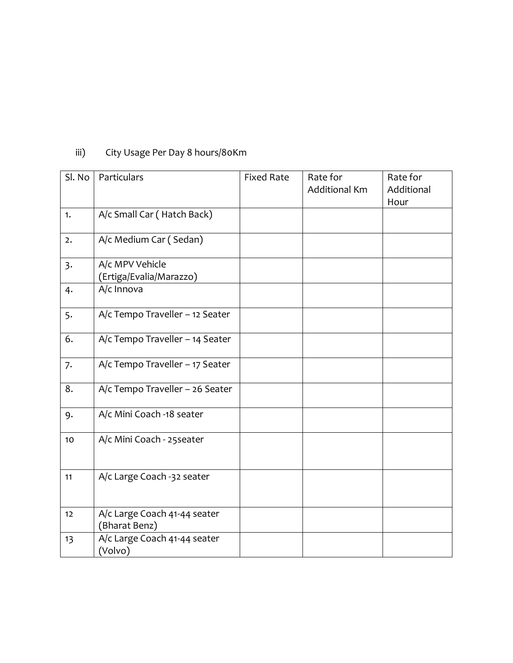| Sl. No | Particulars                                   | <b>Fixed Rate</b> | Rate for<br><b>Additional Km</b> | Rate for<br>Additional<br>Hour |
|--------|-----------------------------------------------|-------------------|----------------------------------|--------------------------------|
| 1.     | A/c Small Car (Hatch Back)                    |                   |                                  |                                |
| 2.     | A/c Medium Car (Sedan)                        |                   |                                  |                                |
| 3.     | A/c MPV Vehicle<br>(Ertiga/Evalia/Marazzo)    |                   |                                  |                                |
| 4.     | A/c Innova                                    |                   |                                  |                                |
| 5.     | A/c Tempo Traveller - 12 Seater               |                   |                                  |                                |
| 6.     | A/c Tempo Traveller - 14 Seater               |                   |                                  |                                |
| 7.     | A/c Tempo Traveller - 17 Seater               |                   |                                  |                                |
| 8.     | A/c Tempo Traveller - 26 Seater               |                   |                                  |                                |
| 9.     | A/c Mini Coach -18 seater                     |                   |                                  |                                |
| 10     | A/c Mini Coach - 25 seater                    |                   |                                  |                                |
| 11     | A/c Large Coach -32 seater                    |                   |                                  |                                |
| 12     | A/c Large Coach 41-44 seater<br>(Bharat Benz) |                   |                                  |                                |
| 13     | A/c Large Coach 41-44 seater<br>(Volvo)       |                   |                                  |                                |

# iii) City Usage Per Day 8 hours/80Km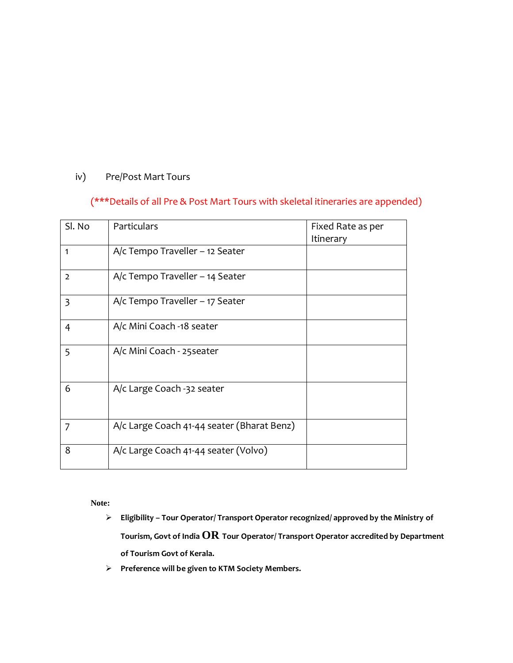## iv) Pre/Post Mart Tours

## (\*\*\*Details of all Pre & Post Mart Tours with skeletal itineraries are appended)

| Sl. No         | <b>Particulars</b>                         | Fixed Rate as per<br>Itinerary |
|----------------|--------------------------------------------|--------------------------------|
| 1              | A/c Tempo Traveller - 12 Seater            |                                |
| $\overline{2}$ | $A/c$ Tempo Traveller – 14 Seater          |                                |
| $\overline{3}$ | $A/c$ Tempo Traveller – 17 Seater          |                                |
| 4              | A/c Mini Coach -18 seater                  |                                |
| 5              | A/c Mini Coach - 25 seater                 |                                |
| 6              | A/c Large Coach -32 seater                 |                                |
| $\overline{7}$ | A/c Large Coach 41-44 seater (Bharat Benz) |                                |
| 8              | A/c Large Coach 41-44 seater (Volvo)       |                                |

**Note:**

- **Eligibility – Tour Operator/ Transport Operator recognized/ approved by the Ministry of Tourism, Govt of India OR Tour Operator/ Transport Operator accredited by Department of Tourism Govt of Kerala.**
- **Preference will be given to KTM Society Members.**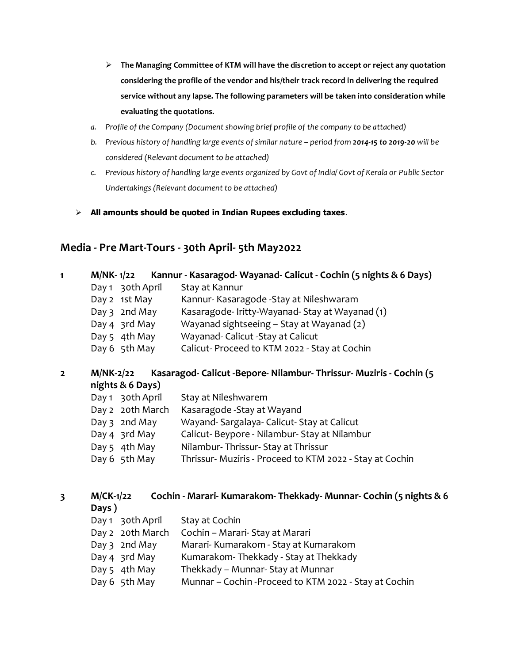- **The Managing Committee of KTM will have the discretion to accept or reject any quotation considering the profile of the vendor and his/their track record in delivering the required service without any lapse. The following parameters will be taken into consideration while evaluating the quotations.**
- *a. Profile of the Company (Document showing brief profile of the company to be attached)*
- *b.* Previous history of handling large events of similar nature period from 2014-15 to 2019-20 will be *considered (Relevant document to be attached)*
- *c. Previous history of handling large events organized by Govt of India/ Govt of Kerala or Public Sector Undertakings (Relevant document to be attached)*
- **All amounts should be quoted in Indian Rupees excluding taxes**.

## **Media - Pre Mart-Tours - 30th April- 5th May2022**

**Days )**

Day 1 30th April Stay at Cochin

Day 2 20th March Cochin – Marari- Stay at Marari

Day 3 2nd May Marari- Kumarakom - Stay at Kumarakom Day 4 3rd May Kumarakom- Thekkady - Stay at Thekkady

Day 6 5th May Munnar – Cochin - Proceed to KTM 2022 - Stay at Cochin

Day 5 4th May Thekkady – Munnar- Stay at Munnar

| 1                | M/NK-1/22        | Kannur - Kasaragod- Wayanad- Calicut - Cochin (5 nights & 6 Days)    |
|------------------|------------------|----------------------------------------------------------------------|
|                  | Day 1 30th April | Stay at Kannur                                                       |
|                  | Day 2 1st May    | Kannur- Kasaragode - Stay at Nileshwaram                             |
|                  | Day $3$ 2nd May  | Kasaragode-Iritty-Wayanad-Stay at Wayanad (1)                        |
|                  | Day 4 3rd May    | Wayanad sightseeing - Stay at Wayanad (2)                            |
|                  | Day 5 4th May    | Wayanad- Calicut - Stay at Calicut                                   |
|                  | Day 6 5th May    | Calicut-Proceed to KTM 2022 - Stay at Cochin                         |
| $\overline{2}$   | <b>M/NK-2/22</b> | Kasaragod- Calicut - Bepore- Nilambur- Thrissur- Muziris - Cochin (5 |
| nights & 6 Days) |                  |                                                                      |
|                  | Day 1 30th April | Stay at Nileshwarem                                                  |
|                  | Day 2 20th March | Kasaragode - Stay at Wayand                                          |
|                  | Day $3$ 2nd May  | Wayand-Sargalaya-Calicut-Stay at Calicut                             |
|                  | Day 4 3rd May    | Calicut-Beypore - Nilambur-Stay at Nilambur                          |
|                  | Day 5 4th May    | Nilambur-Thrissur-Stay at Thrissur                                   |
|                  | Day 6 5th May    | Thrissur- Muziris - Proceed to KTM 2022 - Stay at Cochin             |
|                  |                  |                                                                      |
| 3                | $M/CK-1/22$      | Cochin - Marari- Kumarakom- Thekkady- Munnar- Cochin (5 nights & 6   |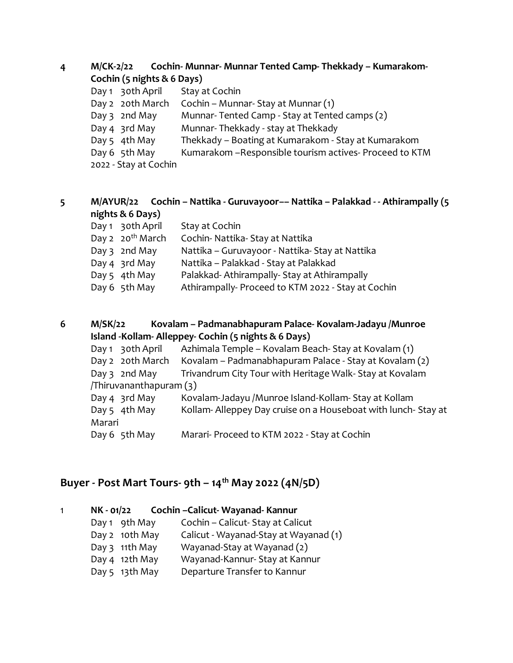| M/CK-2/22 | Cochin- Munnar- Munnar Tented Camp- Thekkady – Kumarakom- |
|-----------|-----------------------------------------------------------|
|           | Cochin (5 nights & 6 Days)                                |

| Day 1 30th April      | Stay at Cochin                                           |
|-----------------------|----------------------------------------------------------|
| Day 2 20th March      | Cochin – Munnar-Stay at Munnar (1)                       |
| Day 3 2nd May         | Munnar-Tented Camp - Stay at Tented camps (2)            |
| Day 4 3rd May         | Munnar-Thekkady - stay at Thekkady                       |
| Day 5 4th May         | Thekkady – Boating at Kumarakom - Stay at Kumarakom      |
| Day 6 5th May         | Kumarakom - Responsible tourism actives - Proceed to KTM |
| 2022 - Stay at Cochin |                                                          |
|                       |                                                          |

## **5 M/AYUR/22 Cochin – Nattika - Guruvayoor–– Nattika – Palakkad - - Athirampally (5 nights & 6 Days)**

| Day 1 30th April             | Stay at Cochin                                    |
|------------------------------|---------------------------------------------------|
| Day 2 20 <sup>th</sup> March | Cochin- Nattika- Stay at Nattika                  |
| Day 3 2nd May                | Nattika – Guruvayoor - Nattika-Stay at Nattika    |
| Day 4 3rd May                | Nattika - Palakkad - Stay at Palakkad             |
| Day 5 4th May                | Palakkad-Athirampally-Stay at Athirampally        |
| Day 6 5th May                | Athirampally-Proceed to KTM 2022 - Stay at Cochin |
|                              |                                                   |

## **6 M/SK/22 Kovalam – Padmanabhapuram Palace- Kovalam-Jadayu /Munroe Island -Kollam- Alleppey- Cochin (5 nights & 6 Days)**

|        | Day 1 30th April       | Azhimala Temple – Kovalam Beach-Stay at Kovalam (1)          |
|--------|------------------------|--------------------------------------------------------------|
|        | Day 2 20th March       | Kovalam – Padmanabhapuram Palace - Stay at Kovalam (2)       |
|        | Day $3$ 2nd May        | Trivandrum City Tour with Heritage Walk-Stay at Kovalam      |
|        | (3) Thiruvananthapuram |                                                              |
|        | Day 4 3rd May          | Kovalam-Jadayu /Munroe Island-Kollam-Stay at Kollam          |
|        | Day 5 4th May          | Kollam-Alleppey Day cruise on a Houseboat with lunch-Stay at |
| Marari |                        |                                                              |
|        | Day 6 5th May          | Marari- Proceed to KTM 2022 - Stay at Cochin                 |

# **Buyer - Post Mart Tours- 9th – 14th May 2022 (4N/5D)**

| 1 | NK - 01/22 |                | Cochin –Calicut- Wayanad- Kannur      |
|---|------------|----------------|---------------------------------------|
|   |            | Day 1 9th May  | Cochin - Calicut- Stay at Calicut     |
|   |            | Day 2 10th May | Calicut - Wayanad-Stay at Wayanad (1) |
|   |            | Day 3 11th May | Wayanad-Stay at Wayanad (2)           |
|   |            | Day 4 12th May | Wayanad-Kannur- Stay at Kannur        |
|   |            | Day 5 13th May | Departure Transfer to Kannur          |
|   |            |                |                                       |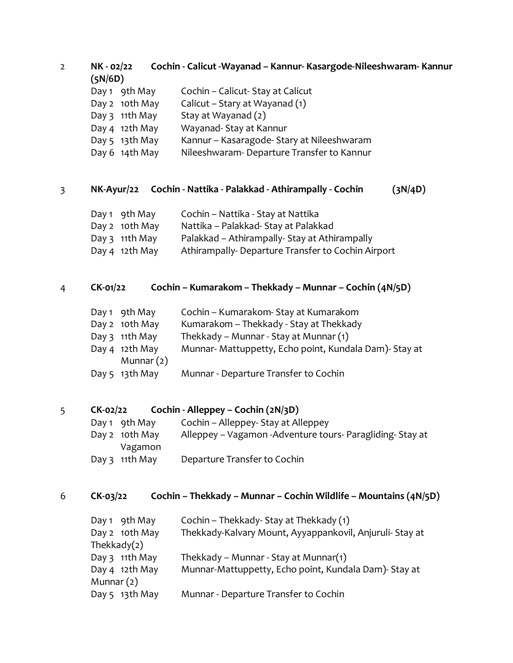2 **NK - 02/22 Cochin - Calicut -Wayanad – Kannur- Kasargode-Nileeshwaram- Kannur (5N/6D)**

|  | Day 1 9th May | Cochin – Calicut- Stay at Calicut |
|--|---------------|-----------------------------------|
|--|---------------|-----------------------------------|

- Day 2 10th May Calicut Stary at Wayanad (1)
- Day 3 11th May Stay at Wayanad  $(2)$
- Day 4 12th May Wayanad- Stay at Kannur
- Day 5 13th May Kannur Kasaragode- Stary at Nileeshwaram
- Day 6 14th May Nileeshwaram- Departure Transfer to Kannur

## 3 **NK-Ayur/22 Cochin - Nattika - Palakkad - Athirampally - Cochin (3N/4D)**

| Day 1 9th May    | Cochin - Nattika - Stay at Nattika            |
|------------------|-----------------------------------------------|
| Day 2 10th May   | Nattika – Palakkad-Stay at Palakkad           |
| Day $3$ 11th May | Palakkad - Athirampally- Stay at Athirampally |

Day 4 12th May Athirampally- Departure Transfer to Cochin Airport

## 4 **CK-01/22 Cochin – Kumarakom – Thekkady – Munnar – Cochin (4N/5D)**

- Day 1 9th May Cochin Kumarakom- Stay at Kumarakom
- Day 2 10th May Kumarakom Thekkady Stay at Thekkady
- Day 3 11th May Thekkady Munnar Stay at Munnar (1)
- Day 4 12th May Munnar- Mattuppetty, Echo point, Kundala Dam)- Stay at Munnar (2)
- Day 5 13th May Munnar Departure Transfer to Cochin

## 5 **CK-02/22 Cochin - Alleppey – Cochin (2N/3D)**

| Day 1 $\theta$ oth May | Cochin – Alleppey- Stay at Alleppey                          |
|------------------------|--------------------------------------------------------------|
| Day 2 10th May         | Alleppey – Vagamon - Adventure tours - Paragliding - Stay at |
| Vagamon                |                                                              |
| Day $3$ 11th May       | Departure Transfer to Cochin                                 |

## 6 **CK-03/22 Cochin – Thekkady – Munnar – Cochin Wildlife – Mountains (4N/5D)**

| Day 1 9th May  | Cochin – Thekkady- Stay at Thekkady (1)                  |
|----------------|----------------------------------------------------------|
| Day 2 10th May | Thekkady-Kalvary Mount, Ayyappankovil, Anjuruli- Stay at |
| Thekkady $(2)$ |                                                          |
| Day 3 11th May | Thekkady – Munnar - Stay at Munnar(1)                    |
| Day 4 12th May | Munnar-Mattuppetty, Echo point, Kundala Dam)- Stay at    |
| Munnar $(2)$   |                                                          |
| Day 5 13th May | Munnar - Departure Transfer to Cochin                    |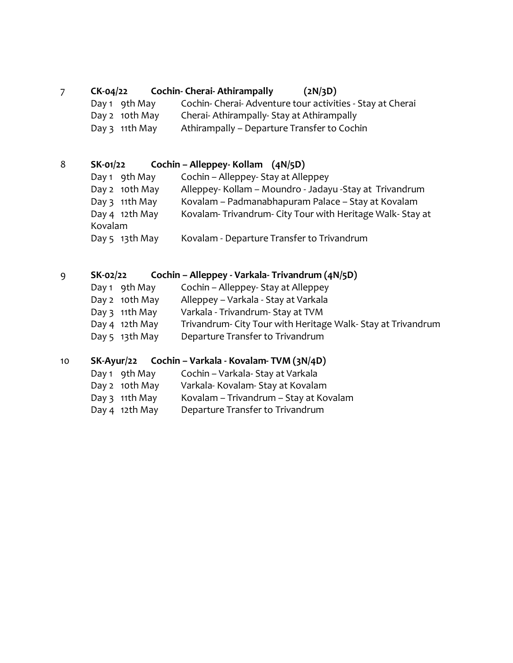## 7 **CK-04/22 Cochin- Cherai- Athirampally (2N/3D)**

Day 1 9th May Cochin- Cherai- Adventure tour activities - Stay at Cherai Day 2 10th May Cherai- Athirampally- Stay at Athirampally Day 3 11th May Athirampally – Departure Transfer to Cochin

## 8 **SK-01/22 Cochin – Alleppey- Kollam (4N/5D)**

- Day 1 9th May Cochin Alleppey- Stay at Alleppey Day 2 10th May Alleppey- Kollam – Moundro - Jadayu -Stay at Trivandrum
- Day 3 11th May Kovalam Padmanabhapuram Palace Stay at Kovalam
- Day 4 12th May Kovalam- Trivandrum- City Tour with Heritage Walk- Stay at

Kovalam

Day 5 13th May Kovalam - Departure Transfer to Trivandrum

## 9 **SK-02/22 Cochin – Alleppey - Varkala- Trivandrum (4N/5D)**

- Day 1 9th May Cochin Alleppey- Stay at Alleppey
- Day 2 10th May Alleppey Varkala Stay at Varkala
- Day 3 11th May Varkala Trivandrum- Stay at TVM
- Day 4 12th May Trivandrum- City Tour with Heritage Walk-Stay at Trivandrum
- Day 5 13th May Departure Transfer to Trivandrum

## 10 **SK-Ayur/22 Cochin – Varkala - Kovalam- TVM (3N/4D)**

- Day 1 9th May Cochin Varkala- Stay at Varkala
- Day 2 10th May Varkala- Kovalam- Stay at Kovalam
- Day 3 11th May Kovalam Trivandrum Stay at Kovalam
- Day 4 12th May Departure Transfer to Trivandrum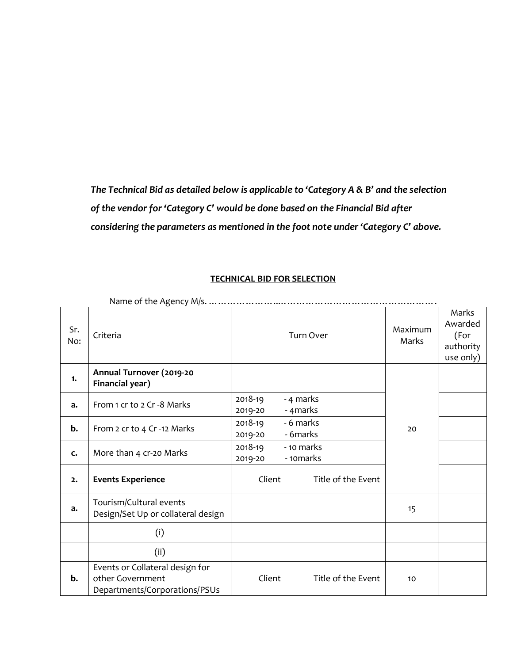*The Technical Bid as detailed below is applicable to 'Category A & B' and the selection of the vendor for 'Category C' would be done based on the Financial Bid after considering the parameters as mentioned in the foot note under 'Category C' above.*

#### **TECHNICAL BID FOR SELECTION**

| Sr.<br>No: | Criteria                                                                             | <b>Turn Over</b>                              |                    | Maximum<br>Marks | Marks<br>Awarded<br>(For<br>authority<br>use only) |
|------------|--------------------------------------------------------------------------------------|-----------------------------------------------|--------------------|------------------|----------------------------------------------------|
| 1.         | Annual Turnover (2019-20<br>Financial year)                                          |                                               |                    |                  |                                                    |
| a.         | From 1 cr to 2 Cr -8 Marks                                                           | 2018-19<br>- 4 marks<br>2019-20<br>- 4 marks  |                    |                  |                                                    |
| b.         | From 2 cr to 4 Cr -12 Marks                                                          | - 6 marks<br>2018-19<br>- 6marks<br>2019-20   |                    | 20               |                                                    |
| c.         | More than 4 cr-20 Marks                                                              | 2018-19<br>- 10 marks<br>- 10marks<br>2019-20 |                    |                  |                                                    |
| 2.         | <b>Events Experience</b>                                                             | Client<br>Title of the Event                  |                    |                  |                                                    |
| a.         | Tourism/Cultural events<br>Design/Set Up or collateral design                        |                                               |                    | 15               |                                                    |
|            | (i)                                                                                  |                                               |                    |                  |                                                    |
|            | (ii)                                                                                 |                                               |                    |                  |                                                    |
| b.         | Events or Collateral design for<br>other Government<br>Departments/Corporations/PSUs | Client                                        | Title of the Event | 10               |                                                    |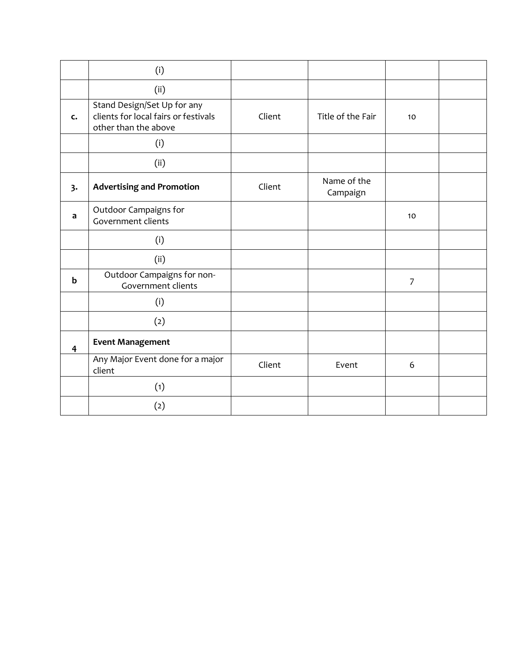|                         | (i)                                                                                         |        |                         |                |  |
|-------------------------|---------------------------------------------------------------------------------------------|--------|-------------------------|----------------|--|
|                         | (ii)                                                                                        |        |                         |                |  |
| c.                      | Stand Design/Set Up for any<br>clients for local fairs or festivals<br>other than the above | Client | Title of the Fair       | 10             |  |
|                         | (i)                                                                                         |        |                         |                |  |
|                         | (ii)                                                                                        |        |                         |                |  |
| 3.                      | <b>Advertising and Promotion</b>                                                            | Client | Name of the<br>Campaign |                |  |
| a                       | Outdoor Campaigns for<br>Government clients                                                 |        |                         | 10             |  |
|                         | (i)                                                                                         |        |                         |                |  |
|                         | (ii)                                                                                        |        |                         |                |  |
| $\mathbf b$             | Outdoor Campaigns for non-<br>Government clients                                            |        |                         | $\overline{7}$ |  |
|                         | (i)                                                                                         |        |                         |                |  |
|                         | (2)                                                                                         |        |                         |                |  |
| $\overline{\mathbf{4}}$ | <b>Event Management</b>                                                                     |        |                         |                |  |
|                         | Any Major Event done for a major<br>client                                                  | Client | Event                   | 6              |  |
|                         | (1)                                                                                         |        |                         |                |  |
|                         | (2)                                                                                         |        |                         |                |  |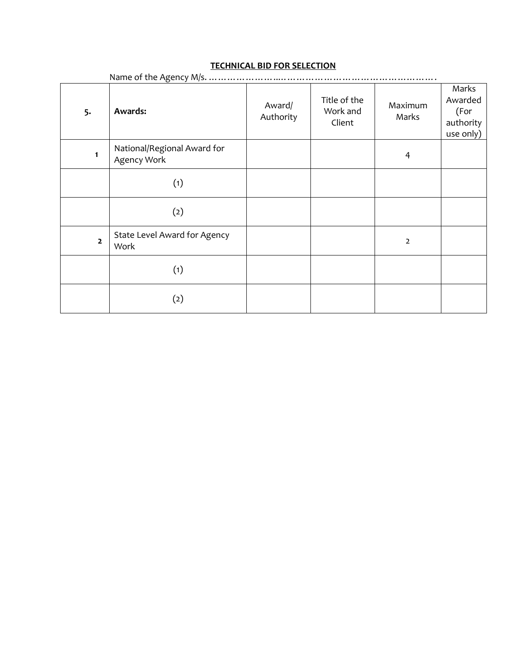## **TECHNICAL BID FOR SELECTION**

| <b>TECHNICAL BID FOR SELECTION</b> |                                            |                     |                                    |                  |                                                    |  |  |  |  |
|------------------------------------|--------------------------------------------|---------------------|------------------------------------|------------------|----------------------------------------------------|--|--|--|--|
| 5.                                 | Name of the Agency M/s.<br><b>Awards:</b>  | Award/<br>Authority | Title of the<br>Work and<br>Client | Maximum<br>Marks | Marks<br>Awarded<br>(For<br>authority<br>use only) |  |  |  |  |
| $\mathbf{1}$                       | National/Regional Award for<br>Agency Work |                     |                                    | 4                |                                                    |  |  |  |  |
|                                    | (1)                                        |                     |                                    |                  |                                                    |  |  |  |  |
|                                    | (2)                                        |                     |                                    |                  |                                                    |  |  |  |  |
| $\overline{\mathbf{2}}$            | State Level Award for Agency<br>Work       |                     |                                    | $\overline{2}$   |                                                    |  |  |  |  |
|                                    | (1)                                        |                     |                                    |                  |                                                    |  |  |  |  |
|                                    | (2)                                        |                     |                                    |                  |                                                    |  |  |  |  |